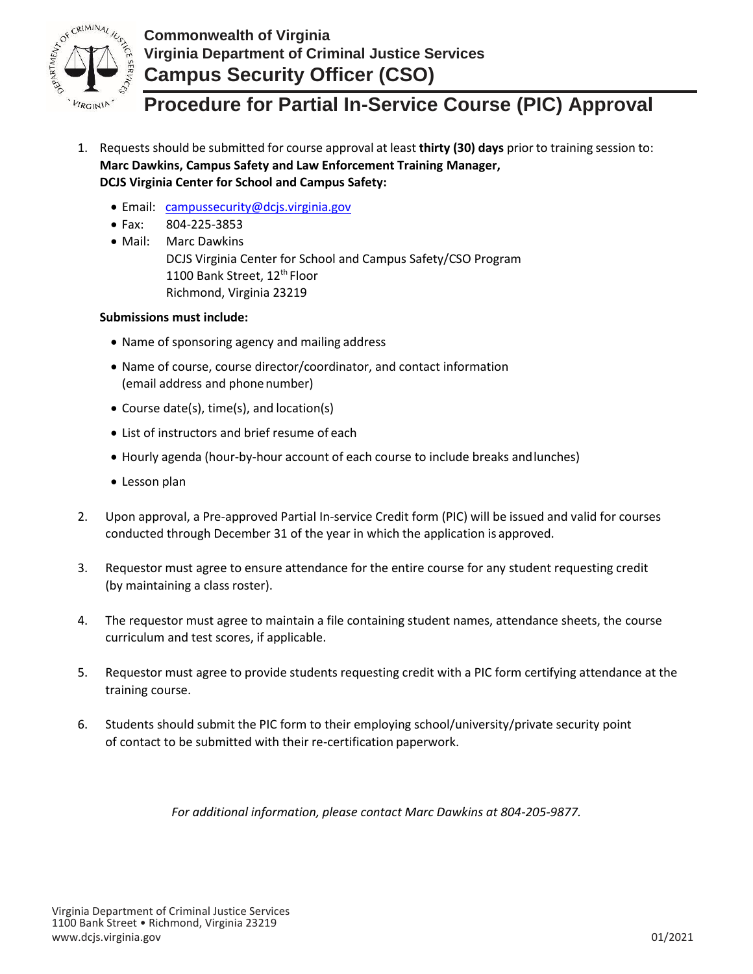

**Commonwealth of Virginia Virginia Department of Criminal Justice Services Campus Security Officer (CSO)**

# **Procedure for Partial In-Service Course (PIC) Approval**

- 1. Requests should be submitted for course approval at least **thirty (30) days** prior to training session to: **Marc Dawkins, Campus Safety and Law Enforcement Training Manager, DCJS Virginia Center for School and Campus Safety:**
	- Email: [campussecurity@dcjs.virginia.gov](mailto:campussecurity@dcjs.virginia.gov)
	- Fax: 804-225-3853
	- Mail: Marc Dawkins DCJS Virginia Center for School and Campus Safety/CSO Program 1100 Bank Street, 12<sup>th</sup> Floor Richmond, Virginia 23219

#### **Submissions must include:**

- Name of sponsoring agency and mailing address
- Name of course, course director/coordinator, and contact information (email address and phonenumber)
- Course date(s), time(s), and location(s)
- List of instructors and brief resume of each
- Hourly agenda (hour-by-hour account of each course to include breaks andlunches)
- Lesson plan
- 2. Upon approval, a Pre-approved Partial In-service Credit form (PIC) will be issued and valid for courses conducted through December 31 of the year in which the application is approved.
- 3. Requestor must agree to ensure attendance for the entire course for any student requesting credit (by maintaining a class roster).
- 4. The requestor must agree to maintain a file containing student names, attendance sheets, the course curriculum and test scores, if applicable.
- 5. Requestor must agree to provide students requesting credit with a PIC form certifying attendance at the training course.
- 6. Students should submit the PIC form to their employing school/university/private security point of contact to be submitted with their re-certification paperwork.

*For additional information, please contact Marc Dawkins at 804-205-9877.*